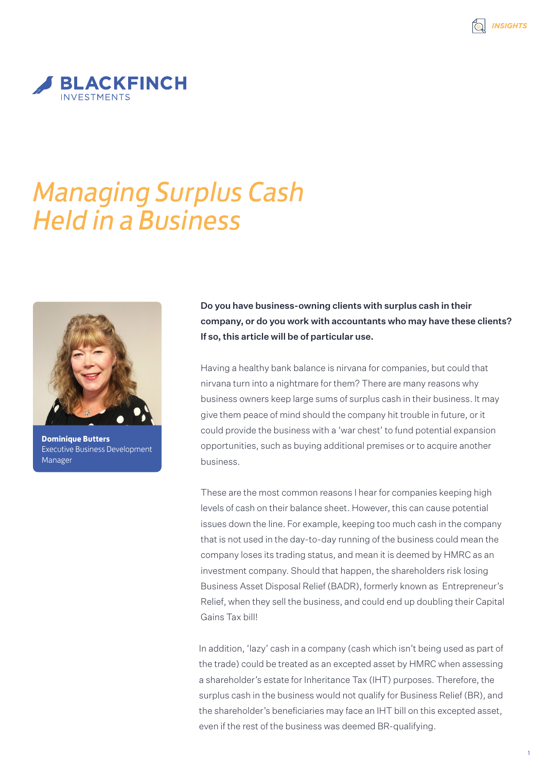

## *Managing Surplus Cash Held in a Business*



**Dominique Butters** Executive Business Development Manager

Do you have business-owning clients with surplus cash in their company, or do you work with accountants who may have these clients? If so, this article will be of particular use.

Having a healthy bank balance is nirvana for companies, but could that nirvana turn into a nightmare for them? There are many reasons why business owners keep large sums of surplus cash in their business. It may give them peace of mind should the company hit trouble in future, or it could provide the business with a 'war chest' to fund potential expansion opportunities, such as buying additional premises or to acquire another business.

These are the most common reasons I hear for companies keeping high levels of cash on their balance sheet. However, this can cause potential issues down the line. For example, keeping too much cash in the company that is not used in the day-to-day running of the business could mean the company loses its trading status, and mean it is deemed by HMRC as an investment company. Should that happen, the shareholders risk losing Business Asset Disposal Relief (BADR), formerly known as Entrepreneur's Relief, when they sell the business, and could end up doubling their Capital Gains Tax bill!

In addition, 'lazy' cash in a company (cash which isn't being used as part of the trade) could be treated as an excepted asset by HMRC when assessing a shareholder's estate for Inheritance Tax (IHT) purposes. Therefore, the surplus cash in the business would not qualify for Business Relief (BR), and the shareholder's beneficiaries may face an IHT bill on this excepted asset, even if the rest of the business was deemed BR-qualifying.